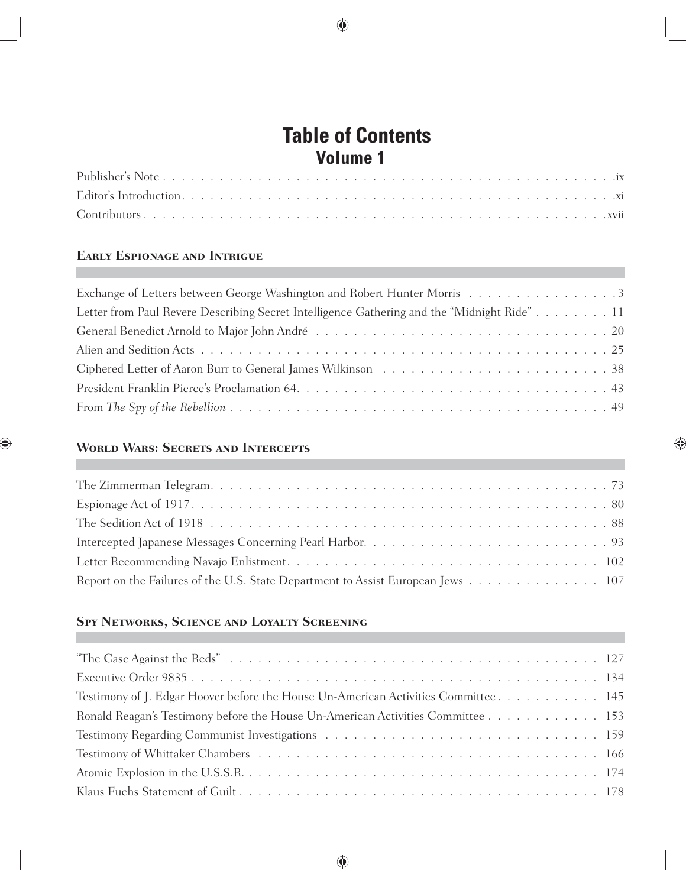#### **Table of Contents Volume 1**

### **Early Espionage and Intrigue**

| Exchange of Letters between George Washington and Robert Hunter Morris 3                                                                                                                                                      |
|-------------------------------------------------------------------------------------------------------------------------------------------------------------------------------------------------------------------------------|
| Letter from Paul Revere Describing Secret Intelligence Gathering and the "Midnight Ride"11                                                                                                                                    |
|                                                                                                                                                                                                                               |
|                                                                                                                                                                                                                               |
| Ciphered Letter of Aaron Burr to General James Wilkinson (a) results and service and service of Aaron Burr to General James Wilkinson (b) and service and service of Aaron Burr to General James Mikinson (b) and service and |
|                                                                                                                                                                                                                               |
|                                                                                                                                                                                                                               |

### **World Wars: Secrets and Intercepts**

| Report on the Failures of the U.S. State Department to Assist European Jews 107 |
|---------------------------------------------------------------------------------|

#### **Spy Networks, Science and Loyalty Screening**

| Testimony of J. Edgar Hoover before the House Un-American Activities Committee. 145 |  |
|-------------------------------------------------------------------------------------|--|
| Ronald Reagan's Testimony before the House Un-American Activities Committee 153     |  |
|                                                                                     |  |
|                                                                                     |  |
|                                                                                     |  |
|                                                                                     |  |
|                                                                                     |  |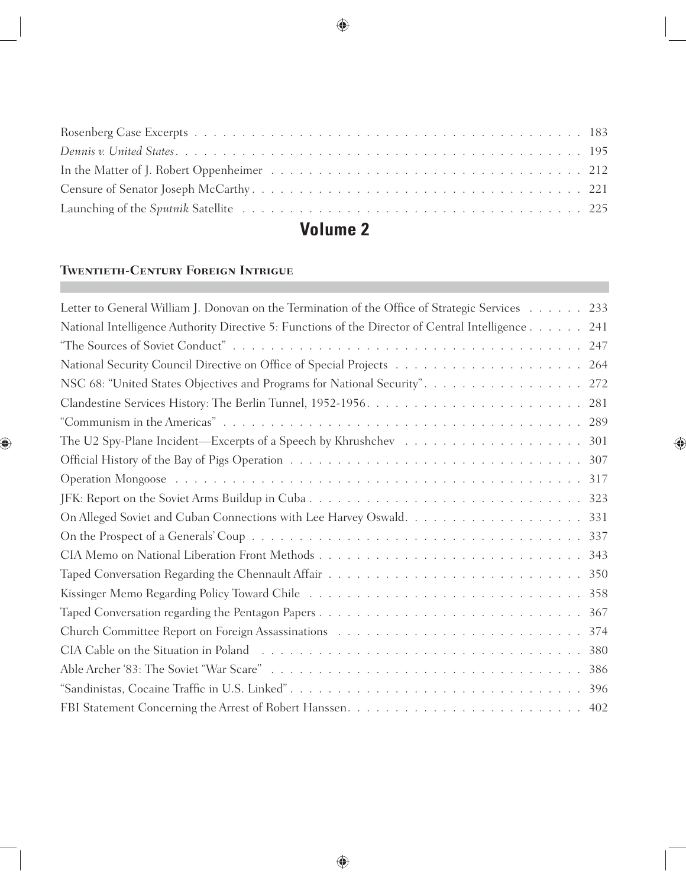#### **Volume 2**

# **Twentieth-Century Foreign Intrigue**

| Letter to General William J. Donovan on the Termination of the Office of Strategic Services 233    |
|----------------------------------------------------------------------------------------------------|
| National Intelligence Authority Directive 5: Functions of the Director of Central Intelligence 241 |
|                                                                                                    |
|                                                                                                    |
| NSC 68: "United States Objectives and Programs for National Security". 272                         |
|                                                                                                    |
|                                                                                                    |
|                                                                                                    |
|                                                                                                    |
|                                                                                                    |
|                                                                                                    |
|                                                                                                    |
|                                                                                                    |
|                                                                                                    |
|                                                                                                    |
|                                                                                                    |
|                                                                                                    |
|                                                                                                    |
|                                                                                                    |
|                                                                                                    |
|                                                                                                    |
|                                                                                                    |